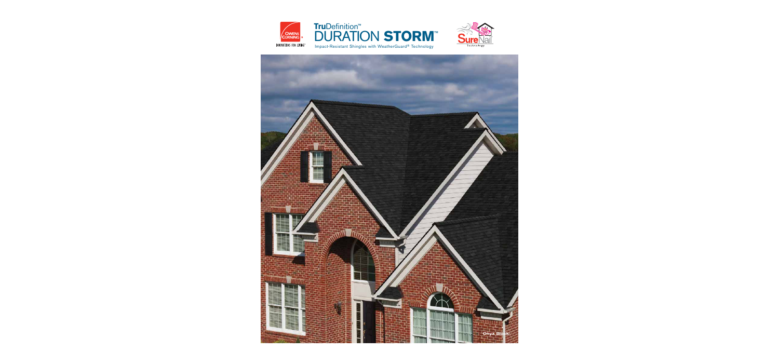

## **Tru**Definition™ DURATION **STORM**™ Impact-Resistant Shingles with WeatherGuard® Technology



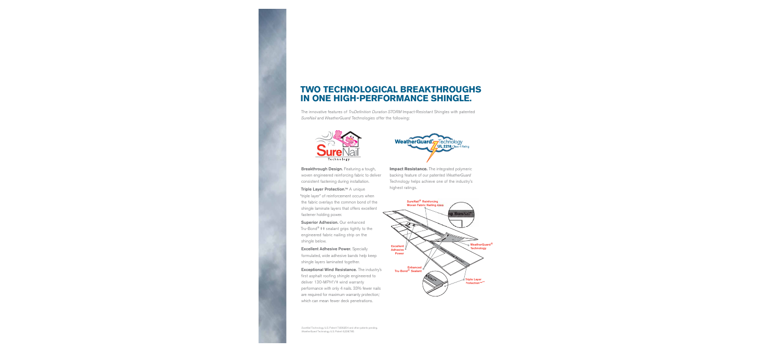# **TWO TECHNOLOGICAL BREAKTHROUGHS IN ONE HIGH-PERFORMANCE SHINGLE.**

The innovative features of TruDefinition Duration STORM Impact-Resistant Shingles with patented SureNail and WeatherGuard Technologies offer the following:



**Breakthrough Design.** Featuring a tough, woven engineered reinforcing fabric to deliver consistent fastening during installation.

**Triple Layer Protection**.™ A unique "triple layer" of reinforcement occurs when the fabric overlays the common bond of the shingle laminate layers that offers excellent fastener holding power.

**Superior Adhesion.** Our enhanced Tru-Bond<sup>®</sup>  $\ddagger\ddagger$  sealant grips tightly to the engineered fabric nailing strip on the shingle below.

**Excellent Adhesive Power.** Specially formulated, wide adhesive bands help keep shingle layers laminated together.

**Exceptional Wind Resistance.** The industry's first asphalt roofing shingle engineered to deliver 130-MPH\*/‡ wind warranty performance with only 4 nails. 33% fewer nails are required for maximum warranty protection,1 which can mean fewer deck penetrations.



**Impact Resistance.** The integrated polymeric backing feature of our patented WeatherGuard Technology helps achieve one of the industry's highest ratings.

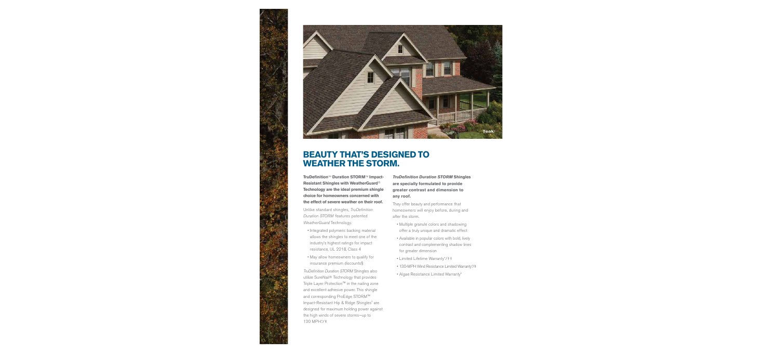

# **BEAUTY THAT'S DESIGNED TO WEATHER THE STORM.**

**TruDefinition**™ **Duration STORM**™ **Impact-Resistant Shingles with WeatherGuard**® **Technology are the ideal premium shingle choice for homeowners concerned with the effect of severe weather on their roof.**

Unlike standard shingles, TruDefinition Duration STORM features patented WeatherGuard Technology.

- Integrated polymeric backing material allows the shingles to meet one of the industry's highest ratings for impact resistance, UL 2218, Class 4
- May allow homeowners to qualify for insurance premium discounts§

TruDefinition Duration STORM Shingles also utilize SureNail® Technology that provides Triple Layer Protection™ in the nailing zone and excellent adhesive power. This shingle and corresponding ProEdge STORM™ Impact-Resistant Hip & Ridge Shingles<sup>3</sup> are designed for maximum holding power against the high winds of severe storms—up to 130 MPH.\*/‡

*TruDefinition Duration STORM* **Shingles are specially formulated to provide greater contrast and dimension to any roof.**

They offer beauty and performance that homeowners will enjoy before, during and after the storm.

- Multiple granule colors and shadowing offer a truly unique and dramatic effect
- Available in popular colors with bold, lively contrast and complementing shadow lines for greater dimension
- Limited Lifetime Warranty\*/††
- 130-MPH Wind Resistance Limited Warranty\*/‡
	- Algae Resistance Limited Warranty\*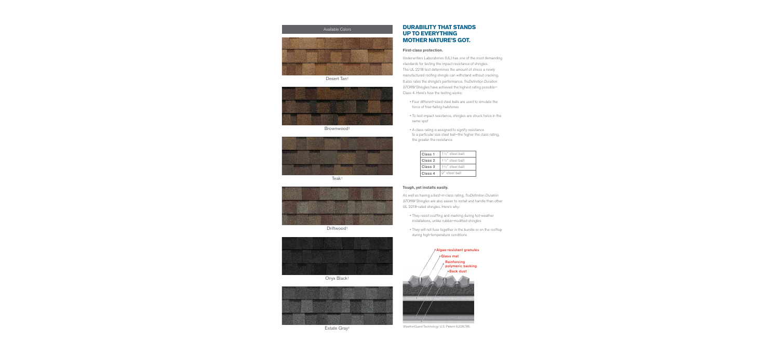

Desert Tan†



Brownwood†



Teak†



Driftwood†



Onyx Black†



Estate Gray†

### Available Colors **DURABILITY THAT STANDS UP TO EVERYTHING MOTHER NATURE'S GOT.**

#### **First-class protection.**

Underwriters Laboratories (UL) has one of the most demanding standards for testing the impact resistance of shingles. The UL 2218 test determines the amount of stress a newly manufactured roofing shingle can withstand without cracking. It also rates the shingle's performance. TruDefinition Duration STORM Shingles have achieved the highest rating possible— Class 4. Here's how the testing works:

- Four different-sized steel balls are used to simulate the force of free-falling hailstones
- To test impact resistance, shingles are struck twice in the same spot
- A class rating is assigned to signify resistance to a particular size steel ball-the higher the class rating, the greater the resistance

| Class <sub>1</sub> | $1\frac{1}{4}$ " steel ball |
|--------------------|-----------------------------|
| Class 2            | $1\frac{1}{2}$ " steel ball |
| Class <sub>3</sub> | $1\frac{3}{4}$ " steel ball |
| Class <sub>4</sub> | 2" steel hall               |

#### **Tough, yet installs easily.**

As well as having a best-in-class rating, TruDefinition Duration STORM Shingles are also easier to install and handle than other UL 2218-rated shingles. Here's why:

- They resist scuffing and marking during hot-weather installations, unlike rubber-modified shingles
- They will not fuse together in the bundle or on the rooftop during high-temperature conditions



WeatherGuard Technology U.S. Patent 6,228,785.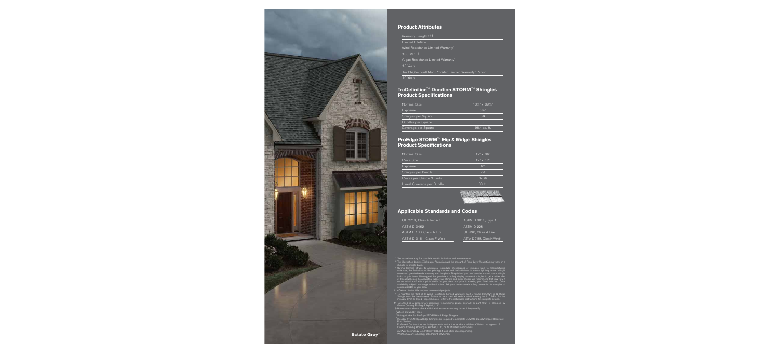

### **Product Attributes**

Warranty Length\*/††

Limited Lifetime

Wind Resistance Limited Warranty\*

130 MPH‡

Algae Resistance Limited Warranty\*

10 Years

Tru PROtection® Non-Prorated Limited Warranty\* Period 10 Years

#### **TruDefinition**™ **Duration STORM**™ **Shingles Product Specifications**

| Nominal Size        | $13\frac{1}{4}$ " x 39 <sup>3</sup> / <sub>8</sub> " |
|---------------------|------------------------------------------------------|
| Exposure            | $5\%$ "                                              |
| Shingles per Square | 64                                                   |
| Bundles per Square  | З                                                    |
| Coverage per Square | 98.4 sq. ft.                                         |

### **ProEdge STORM**™ **Hip & Ridge Shingles Product Specifications**

| Nominal Size               | $12" \times 36"$ |
|----------------------------|------------------|
| Piece Size                 | $12" \times 12"$ |
| Exposure                   | 6"               |
| Shingles per Bundle        | 22               |
| Pieces per Shingle/Bundle  | 3/66             |
| Lineal Coverage per Bundle | 33 <sub>ft</sub> |

## **Applicable Standards and Codes**

| UL 2218, Class 4 Impact   | ASTM D 3018, Type 1                    |
|---------------------------|----------------------------------------|
| <b>ASTM D 3462</b>        | ASTM D 228                             |
| ASTM E 108, Class A Fire  | UL 790, Class A Fire                   |
| ASTM D 3161, Class F Wind | ASTM D 7158, Class H Wind <sup>2</sup> |

Consider See actual warranty for complete details, limitations and requirements.<br>
This illustration depicts *Triple Layer Protection* and the amount of *Triple Layer Protection* may vary on a<br>
shingle-to-shingle basis.<br>
T

<sup>2</sup>Not applicable for *ProEdge STORM* Hip & Ridge Shingles.<br><sup>3</sup>*ProEdge STORM* Hip & Ridge Shingles are required to complete UL 2218 Class IV Impact-Resistant<br>Roof System.<br>Preferred Contractors are independent contractors